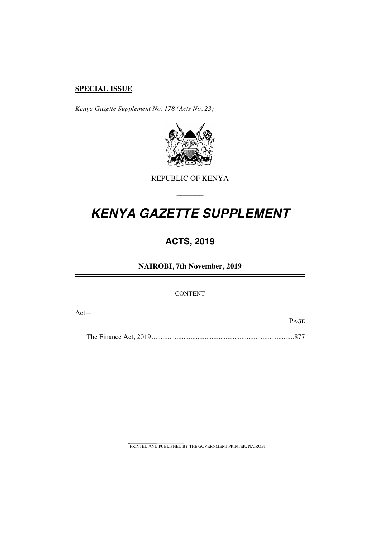# **SPECIAL ISSUE**

*Kenya Gazette Supplement No. 178 (Acts No. 23)*



REPUBLIC OF KENYA

–––––––

# *KENYA GAZETTE SUPPLEMENT*

# **ACTS, 2019**

**NAIROBI, 7th November, 2019**

CONTENT

Act—

PAGE

The Finance Act, 2019.................................................................................877

PRINTED AND PUBLISHED BY THE GOVERNMENT PRINTER, NAIROBI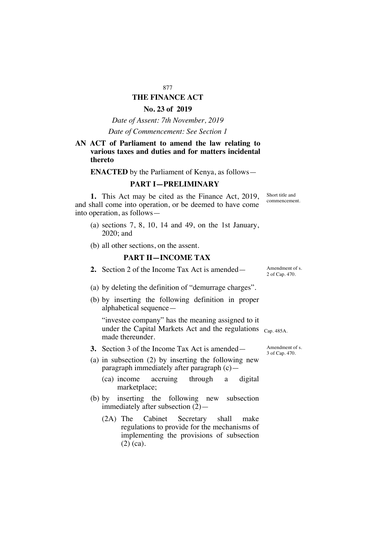# 877 **THE FINANCE ACT**

# **No. 23 of 2019**

*Date of Assent: 7th November, 2019*

#### *Date of Commencement: See Section 1*

# **AN ACT of Parliament to amend the law relating to various taxes and duties and for matters incidental thereto**

**ENACTED** by the Parliament of Kenya, as follows—

# **PART I—PRELIMINARY**

**1.** This Act may be cited as the Finance Act, 2019, and shall come into operation, or be deemed to have come into operation, as follows—

- (a) sections 7, 8, 10, 14 and 49, on the 1st January, 2020; and
- (b) all other sections, on the assent.

# **PART II—INCOME TAX**

**2.** Section 2 of the Income Tax Act is amended — Amendment of s.

- (a) by deleting the definition of "demurrage charges".
- (b) by inserting the following definition in proper alphabetical sequence—

"investee company" has the meaning assigned to it under the Capital Markets Act and the regulations <sub>Cap. 485A.</sub> made thereunder.

- **3.** Section 3 of the Income Tax Act is amended—
- (a) in subsection (2) by inserting the following new paragraph immediately after paragraph (c)—
	- (ca) income accruing through a digital marketplace;
- (b) by inserting the following new subsection immediately after subsection (2)—
	- (2A) The Cabinet Secretary shall make regulations to provide for the mechanisms of implementing the provisions of subsection (2) (ca).

Amendment of s. 3 of Cap. 470.

Short title and commencement.

2 of Cap. 470.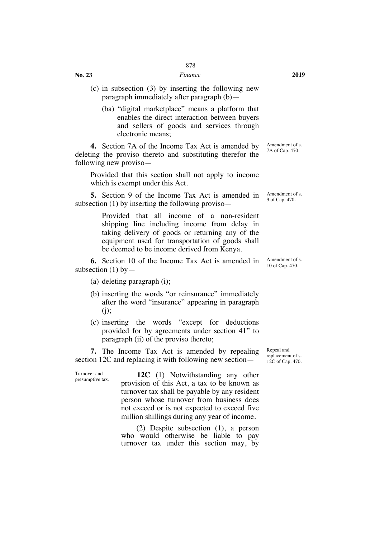#### *Finance* **2019**

- (c) in subsection (3) by inserting the following new paragraph immediately after paragraph (b)—
	- (ba) "digital marketplace" means a platform that enables the direct interaction between buyers and sellers of goods and services through electronic means;

**4.** Section 7A of the Income Tax Act is amended by deleting the proviso thereto and substituting therefor the following new proviso—

Provided that this section shall not apply to income which is exempt under this Act.

**5.** Section 9 of the Income Tax Act is amended in subsection (1) by inserting the following proviso—

> Provided that all income of a non-resident shipping line including income from delay in taking delivery of goods or returning any of the equipment used for transportation of goods shall be deemed to be income derived from Kenya.

**6.** Section 10 of the Income Tax Act is amended in subsection  $(1)$  by —

(a) deleting paragraph (i);

Turnover and

- (b) inserting the words "or reinsurance" immediately after the word "insurance" appearing in paragraph  $(i)$ ;
- (c) inserting the words "except for deductions provided for by agreements under section 41" to paragraph (ii) of the proviso thereto;

**7.** The Income Tax Act is amended by repealing section 12C and replacing it with following new section—

presumptive tax. **12C** (1) Notwithstanding any other provision of this Act, a tax to be known as turnover tax shall be payable by any resident person whose turnover from business does not exceed or is not expected to exceed five million shillings during any year of income.

> (2) Despite subsection (1), a person who would otherwise be liable to pay turnover tax under this section may, by

Repeal and replacement of s. 12C of Cap. 470.

Amendment of s. 7A of Cap. 470.

Amendment of s. 9 of Cap. 470.

Amendment of s. 10 of Cap. 470.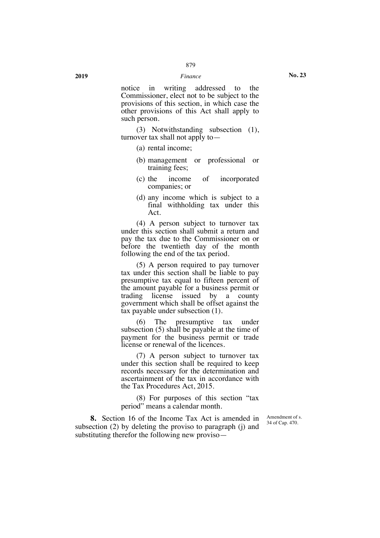notice in writing addressed to the Commissioner, elect not to be subject to the provisions of this section, in which case the other provisions of this Act shall apply to such person.

(3) Notwithstanding subsection (1), turnover tax shall not apply to—

- (a) rental income;
- (b) management or professional or training fees;
- (c) the income of incorporated companies; or
- (d) any income which is subject to a final withholding tax under this Act.

(4) A person subject to turnover tax under this section shall submit a return and pay the tax due to the Commissioner on or before the twentieth day of the month following the end of the tax period.

(5) A person required to pay turnover tax under this section shall be liable to pay presumptive tax equal to fifteen percent of the amount payable for a business permit or trading license issued by a county government which shall be offset against the tax payable under subsection (1).

(6) The presumptive tax under subsection (5) shall be payable at the time of payment for the business permit or trade license or renewal of the licences.

(7) A person subject to turnover tax under this section shall be required to keep records necessary for the determination and ascertainment of the tax in accordance with the Tax Procedures Act, 2015.

(8) For purposes of this section "tax period" means a calendar month.

> Amendment of s. 34 of Cap. 470.

**8.** Section 16 of the Income Tax Act is amended in subsection (2) by deleting the proviso to paragraph (j) and substituting therefor the following new proviso—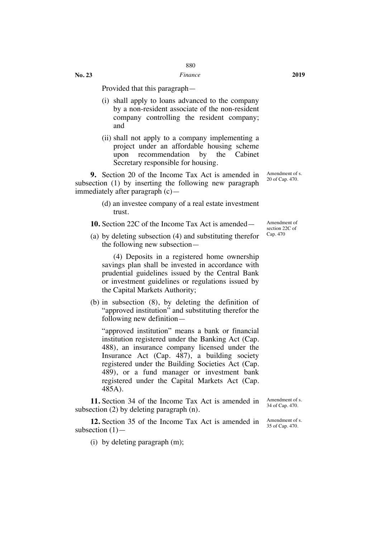**No. 23**

Provided that this paragraph—

- (i) shall apply to loans advanced to the company by a non-resident associate of the non-resident company controlling the resident company; and
- (ii) shall not apply to a company implementing a project under an affordable housing scheme upon recommendation by the Cabinet Secretary responsible for housing.

**9.** Section 20 of the Income Tax Act is amended in subsection (1) by inserting the following new paragraph immediately after paragraph (c)—

> (d) an investee company of a real estate investment trust.

**10.** Section 22C of the Income Tax Act is amended—

(a) by deleting subsection (4) and substituting therefor the following new subsection—

(4) Deposits in a registered home ownership savings plan shall be invested in accordance with prudential guidelines issued by the Central Bank or investment guidelines or regulations issued by the Capital Markets Authority;

(b) in subsection (8), by deleting the definition of "approved institution" and substituting therefor the following new definition—

"approved institution" means a bank or financial institution registered under the Banking Act (Cap. 488), an insurance company licensed under the Insurance Act (Cap. 487), a building society registered under the Building Societies Act (Cap. 489), or a fund manager or investment bank registered under the Capital Markets Act (Cap. 485A).

**11.** Section 34 of the Income Tax Act is amended in subsection (2) by deleting paragraph (n).

**12.** Section 35 of the Income Tax Act is amended in subsection  $(1)$ —

(i) by deleting paragraph (m);

Amendment of s. 20 of Cap. 470.

Amendment of section 22C of Cap. 470

Amendment of s. 34 of Cap. 470.

Amendment of s. 35 of Cap. 470.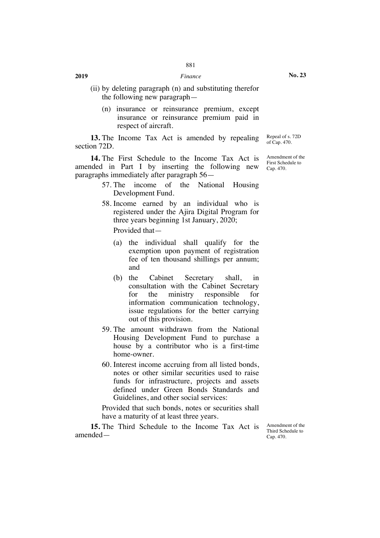- (ii) by deleting paragraph (n) and substituting therefor the following new paragraph—
	- (n) insurance or reinsurance premium, except insurance or reinsurance premium paid in respect of aircraft.

**13.** The Income Tax Act is amended by repealing section 72D. Repeal of s. 72D of Cap. 470.

**14.** The First Schedule to the Income Tax Act is amended in Part I by inserting the following new paragraphs immediately after paragraph 56—

- 57. The income of the National Housing Development Fund.
- 58. Income earned by an individual who is registered under the Ajira Digital Program for three years beginning 1st January, 2020;

Provided that—

- (a) the individual shall qualify for the exemption upon payment of registration fee of ten thousand shillings per annum; and
- (b) the Cabinet Secretary shall, in consultation with the Cabinet Secretary for the ministry responsible for information communication technology, issue regulations for the better carrying out of this provision.
- 59. The amount withdrawn from the National Housing Development Fund to purchase a house by a contributor who is a first-time home-owner.
- 60. Interest income accruing from all listed bonds, notes or other similar securities used to raise funds for infrastructure, projects and assets defined under Green Bonds Standards and Guidelines, and other social services:

Provided that such bonds, notes or securities shall have a maturity of at least three years.

**15.** The Third Schedule to the Income Tax Act is amendedAmendment of the Third Schedule to Cap. 470.

Amendment of the First Schedule to Cap. 470.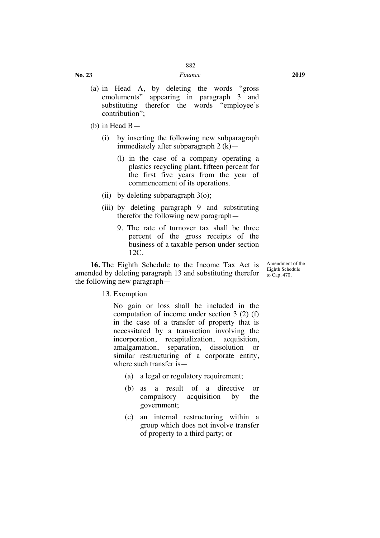#### *Finance* **2019**

- (a) in Head A, by deleting the words "gross emoluments" appearing in paragraph 3 and substituting therefor the words "employee's contribution";
- (b) in Head B—
	- (i) by inserting the following new subparagraph immediately after subparagraph 2 (k)—
		- (l) in the case of a company operating a plastics recycling plant, fifteen percent for the first five years from the year of commencement of its operations.
	- (ii) by deleting subparagraph 3(o);
	- (iii) by deleting paragraph 9 and substituting therefor the following new paragraph—
		- 9. The rate of turnover tax shall be three percent of the gross receipts of the business of a taxable person under section 12C.

**16.** The Eighth Schedule to the Income Tax Act is amended by deleting paragraph 13 and substituting therefor  $\frac{L_{\text{g}}}{L_{\text{g}}}$  to C<sub>ap</sub>. 470. the following new paragraph—

Amendment of the Eighth Schedule

13. Exemption

No gain or loss shall be included in the computation of income under section 3 (2) (f) in the case of a transfer of property that is necessitated by a transaction involving the incorporation, recapitalization, acquisition, amalgamation, separation, dissolution or similar restructuring of a corporate entity, where such transfer is—

- (a) a legal or regulatory requirement;
- (b) as a result of a directive or compulsory acquisition by the government;
- (c) an internal restructuring within a group which does not involve transfer of property to a third party; or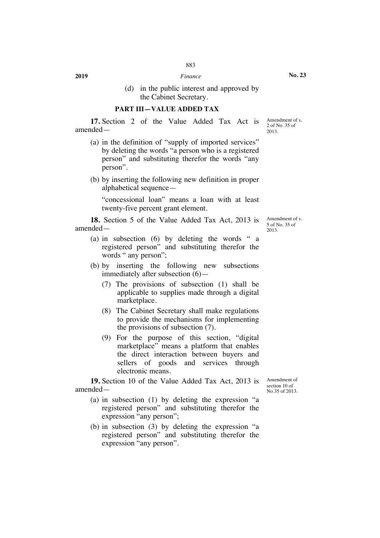(d) in the public interest and approved by the Cabinet Secretary.

## **PART III—VALUE ADDED TAX**

**17.** Section 2 of the Value Added Tax Act is amendedAmendment of s. 2 of No. 35 of 2013.

- (a) in the definition of "supply of imported services" by deleting the words "a person who is a registered person" and substituting therefor the words "any person".
- (b) by inserting the following new definition in proper alphabetical sequence—

"concessional loan" means a loan with at least twenty-five percent grant element.

**18.** Section 5 of the Value Added Tax Act, 2013 is amendedAmendment of s. 5 of No. 35 of 2013.

- (a) in subsection (6) by deleting the words " a registered person" and substituting therefor the words " any person";
- (b) by inserting the following new subsections immediately after subsection  $(6)$ —
	- (7) The provisions of subsection (1) shall be applicable to supplies made through a digital marketplace.
	- (8) The Cabinet Secretary shall make regulations to provide the mechanisms for implementing the provisions of subsection (7).
	- (9) For the purpose of this section, "digital marketplace" means a platform that enables the direct interaction between buyers and sellers of goods and services through electronic means.

**19.** Section 10 of the Value Added Tax Act, 2013 is amended—

- (a) in subsection (1) by deleting the expression "a registered person" and substituting therefor the expression "any person";
- (b) in subsection (3) by deleting the expression "a registered person" and substituting therefor the expression "any person".

Amendment of section 10 of No.35 of 2013.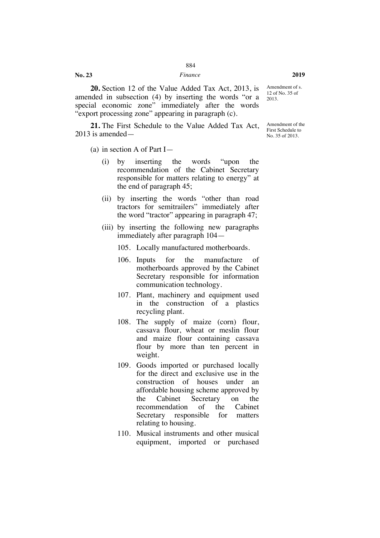**20.** Section 12 of the Value Added Tax Act, 2013, is amended in subsection (4) by inserting the words "or a special economic zone" immediately after the words "export processing zone" appearing in paragraph (c).

**21.** The First Schedule to the Value Added Tax Act, 2013 is amended—

(a) in section A of Part I—

**No. 23**

- (i) by inserting the words "upon the recommendation of the Cabinet Secretary responsible for matters relating to energy" at the end of paragraph 45;
- (ii) by inserting the words "other than road tractors for semitrailers" immediately after the word "tractor" appearing in paragraph 47;
- (iii) by inserting the following new paragraphs immediately after paragraph 104—

105. Locally manufactured motherboards.

- 106. Inputs for the manufacture of motherboards approved by the Cabinet Secretary responsible for information communication technology.
- 107. Plant, machinery and equipment used in the construction of a plastics recycling plant.
- 108. The supply of maize (corn) flour, cassava flour, wheat or meslin flour and maize flour containing cassava flour by more than ten percent in weight.
- 109. Goods imported or purchased locally for the direct and exclusive use in the construction of houses under an affordable housing scheme approved by the Cabinet Secretary on the recommendation of the Cabinet Secretary responsible for matters relating to housing.
- 110. Musical instruments and other musical equipment, imported or purchased

Amendment of s. 12 of No. 35 of 2013.

Amendment of the First Schedule to No. 35 of 2013.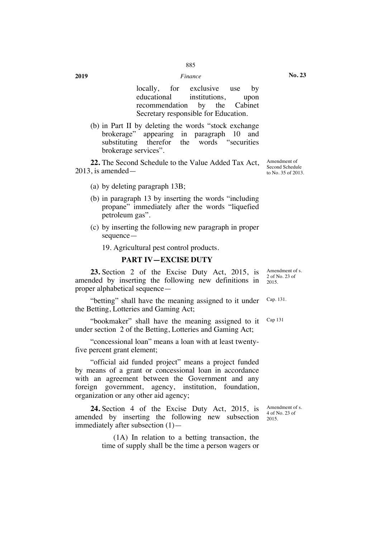locally, for exclusive use by educational institutions, upon recommendation by the Cabinet Secretary responsible for Education.

(b) in Part II by deleting the words "stock exchange brokerage" appearing in paragraph 10 and substituting therefor the words "securities brokerage services".

**22.** The Second Schedule to the Value Added Tax Act, 2013, is amended—

- (a) by deleting paragraph 13B;
- (b) in paragraph 13 by inserting the words "including propane" immediately after the words "liquefied petroleum gas".
- (c) by inserting the following new paragraph in proper sequence—

19. Agricultural pest control products.

# **PART IV—EXCISE DUTY**

**23.** Section 2 of the Excise Duty Act, 2015, is amended by inserting the following new definitions in proper alphabetical sequence—

"betting" shall have the meaning assigned to it under the Betting, Lotteries and Gaming Act;

"bookmaker" shall have the meaning assigned to it under section 2 of the Betting, Lotteries and Gaming Act;

"concessional loan" means a loan with at least twentyfive percent grant element;

"official aid funded project" means a project funded by means of a grant or concessional loan in accordance with an agreement between the Government and any foreign government, agency, institution, foundation, organization or any other aid agency;

**24.** Section 4 of the Excise Duty Act, 2015, is amended by inserting the following new subsection immediately after subsection (1)—

> (1A) In relation to a betting transaction, the time of supply shall be the time a person wagers or

Amendment of Second Schedule to No. 35 of 2013.

Amendment of s. 2 of No. 23 of 2015.

Cap. 131.

Cap 131

Amendment of s. 4 of No. 23 of 2015.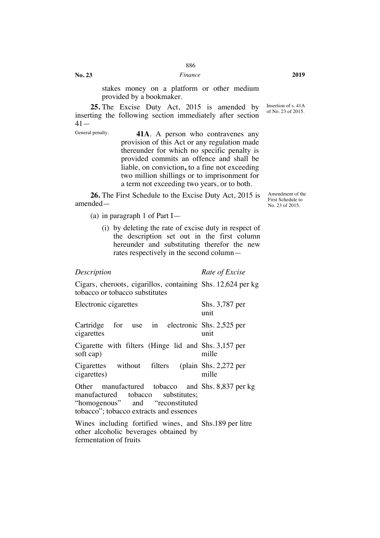stakes money on a platform or other medium provided by a bookmaker.

**25.** The Excise Duty Act, 2015 is amended by inserting the following section immediately after section  $41-$ 

General penalty. **41A.** A person who contravenes any provision of this Act or any regulation made thereunder for which no specific penalty is provided commits an offence and shall be liable, on conviction**,** to a fine not exceeding two million shillings or to imprisonment for a term not exceeding two years, or to both.

**26.** The First Schedule to the Excise Duty Act, 2015 is amended—

(a) in paragraph 1 of Part I—

(i) by deleting the rate of excise duty in respect of the description set out in the first column hereunder and substituting therefor the new rates respectively in the second column—

**No. 23**

*Description Rate of Excise*

Cigars, cheroots, cigarillos, containing Shs. 12,624 per kg tobacco or tobacco substitutes

| Electronic cigarettes                                                                                                                                                | Shs. 3,787 per<br>unit |
|----------------------------------------------------------------------------------------------------------------------------------------------------------------------|------------------------|
| Cartridge for use in electronic Shs. 2,525 per<br>cigarettes                                                                                                         | unit                   |
| Cigarette with filters (Hinge lid and Shs. 3,157 per<br>soft cap)                                                                                                    | mille                  |
| Cigarettes without filters (plain Shs. 2,272 per<br>cigarettes)                                                                                                      | mille                  |
| Other manufactured tobacco and Shs. 8,837 per kg<br>manufactured tobacco substitutes;<br>"homogenous" and "reconstituted"<br>tobacco"; tobacco extracts and essences |                        |
| Wines including fortified wines, and Shs.189 per litre<br>other alcoholic beverages obtained by<br>fermentation of fruits                                            |                        |

of No. 23 of 2015.

Insertion of s. 41A

Amendment of the First Schedule to No. 23 of 2015.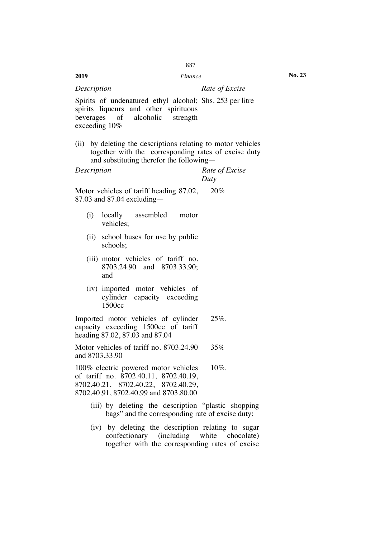|                               | 887                                                                                                                                                              |                        |
|-------------------------------|------------------------------------------------------------------------------------------------------------------------------------------------------------------|------------------------|
| 2019                          | Finance                                                                                                                                                          | No. 2                  |
| Description                   |                                                                                                                                                                  | Rate of Excise         |
| beverages<br>exceeding $10\%$ | Spirits of undenatured ethyl alcohol; Shs. 253 per litre<br>spirits liqueurs and other spirituous<br>of alcoholic<br>strength                                    |                        |
|                               | (ii) by deleting the descriptions relating to motor vehicles<br>together with the corresponding rates of excise duty<br>and substituting therefor the following— |                        |
| Description                   |                                                                                                                                                                  | Rate of Excise<br>Duty |
|                               | Motor vehicles of tariff heading 87.02,<br>$87.03$ and $87.04$ excluding —                                                                                       | 20%                    |
| (i)                           | locally assembled motor<br>vehicles;                                                                                                                             |                        |
| (ii)                          | school buses for use by public<br>schools;                                                                                                                       |                        |
|                               | (iii) motor vehicles of tariff no.<br>8703.24.90 and 8703.33.90;<br>and                                                                                          |                        |
|                               | (iv) imported motor vehicles of<br>cylinder capacity exceeding<br>1500cc                                                                                         |                        |
|                               | Imported motor vehicles of cylinder<br>capacity exceeding 1500cc of tariff<br>heading 87.02, 87.03 and 87.04                                                     | $25%$ .                |
| and 8703.33.90                | Motor vehicles of tariff no. 8703.24.90                                                                                                                          | 35%                    |
|                               | 100% electric powered motor vehicles<br>of tariff no. 8702.40.11, 8702.40.19,<br>8702.40.21, 8702.40.22, 8702.40.29,<br>8702.40.91, 8702.40.99 and 8703.80.00    | $10\%$ .               |
|                               | (iii) by deleting the description "plastic shopping<br>bags" and the corresponding rate of excise duty;                                                          |                        |
|                               | (iv) by deleting the description relating to sugar<br>confectionary (including white                                                                             | chocolate)             |

together with the corresponding rates of excise

**No. 23**

887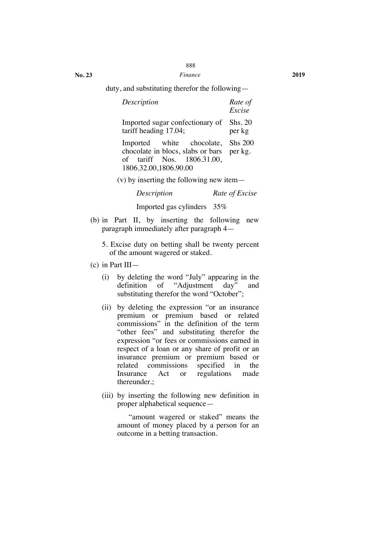*Finance* **2019**

duty, and substituting therefor the following—

| Description                                                                                                                   | Rate of<br>Excise |
|-------------------------------------------------------------------------------------------------------------------------------|-------------------|
| Imported sugar confectionary of<br>tariff heading $17.04$ ;                                                                   | Shs. 20<br>per kg |
| Imported white chocolate,<br>chocolate in blocs, slabs or bars per kg.<br>of tariff Nos. 1806.31.00,<br>1806.32.00,1806.90.00 | <b>Shs 200</b>    |

(v) by inserting the following new item—

*Description Rate of Excise*

Imported gas cylinders 35%

- (b) in Part II, by inserting the following new paragraph immediately after paragraph 4—
	- 5. Excise duty on betting shall be twenty percent of the amount wagered or staked.
- (c) in Part III—
	- (i) by deleting the word "July" appearing in the definition of "Adjustment day" and substituting therefor the word "October";
	- (ii) by deleting the expression "or an insurance premium or premium based or related commissions" in the definition of the term "other fees" and substituting therefor the expression "or fees or commissions earned in respect of a loan or any share of profit or an insurance premium or premium based or related commissions specified in the<br>Insurance Act or regulations made Act or regulations made thereunder.;
	- (iii) by inserting the following new definition in proper alphabetical sequence—

"amount wagered or staked" means the amount of money placed by a person for an outcome in a betting transaction.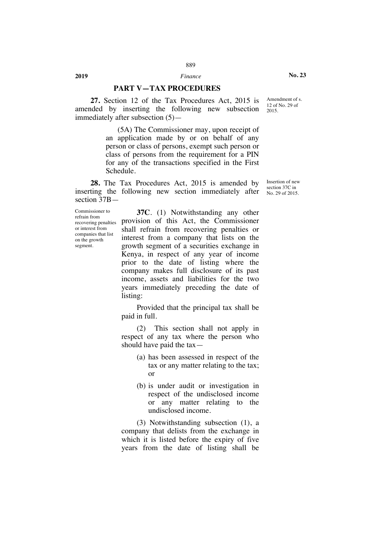# **PART V—TAX PROCEDURES**

**27.** Section 12 of the Tax Procedures Act, 2015 is amended by inserting the following new subsection immediately after subsection (5)—

> (5A) The Commissioner may, upon receipt of an application made by or on behalf of any person or class of persons, exempt such person or class of persons from the requirement for a PIN for any of the transactions specified in the First Schedule.

**28.** The Tax Procedures Act, 2015 is amended by inserting the following new section immediately after section 37B—

Commissioner to refrain from recovering penalties or interest from companies that list on the growth segment.

**37C**. (1) Notwithstanding any other provision of this Act, the Commissioner shall refrain from recovering penalties or interest from a company that lists on the growth segment of a securities exchange in Kenya, in respect of any year of income prior to the date of listing where the company makes full disclosure of its past income, assets and liabilities for the two years immediately preceding the date of listing:

Provided that the principal tax shall be paid in full.

(2) This section shall not apply in respect of any tax where the person who should have paid the tax—

- (a) has been assessed in respect of the tax or any matter relating to the tax; or
- (b) is under audit or investigation in respect of the undisclosed income or any matter relating to the undisclosed income.

(3) Notwithstanding subsection (1), a company that delists from the exchange in which it is listed before the expiry of five years from the date of listing shall be Amendment of s. 12 of No. 29 of 2015.

**No. 23**

Insertion of new section 37C in No. 29 of 2015.

**2019** *Finance*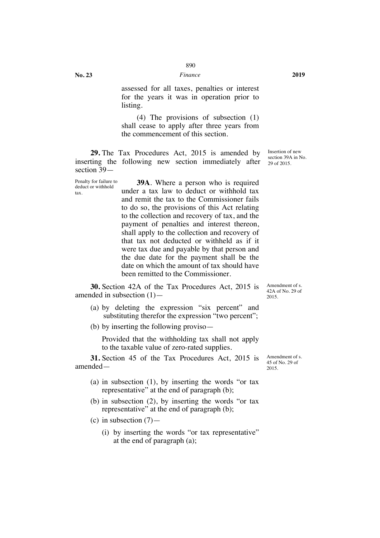**No. 23**

tax.

assessed for all taxes, penalties or interest for the years it was in operation prior to listing.

(4) The provisions of subsection (1) shall cease to apply after three years from the commencement of this section.

**29.** The Tax Procedures Act, 2015 is amended by inserting the following new section immediately after section 39—

Penalty for failure to deduct or withhold **39A**. Where a person who is required under a tax law to deduct or withhold tax and remit the tax to the Commissioner fails to do so, the provisions of this Act relating to the collection and recovery of tax, and the payment of penalties and interest thereon, shall apply to the collection and recovery of that tax not deducted or withheld as if it were tax due and payable by that person and the due date for the payment shall be the date on which the amount of tax should have been remitted to the Commissioner.

**30.** Section 42A of the Tax Procedures Act, 2015 is amended in subsection (1)—

- (a) by deleting the expression "six percent" and substituting therefor the expression "two percent";
- (b) by inserting the following proviso—

Provided that the withholding tax shall not apply to the taxable value of zero-rated supplies.

**31.** Section 45 of the Tax Procedures Act, 2015 is amended—

- (a) in subsection (1), by inserting the words "or tax representative" at the end of paragraph (b);
- (b) in subsection (2), by inserting the words "or tax representative" at the end of paragraph (b);
- (c) in subsection  $(7)$ 
	- (i) by inserting the words "or tax representative" at the end of paragraph (a);

Amendment of s. 45 of No. 29 of

2015.

Insertion of new section 39A in No. 29 of 2015.

Amendment of s. 42A of No. 29 of 2015.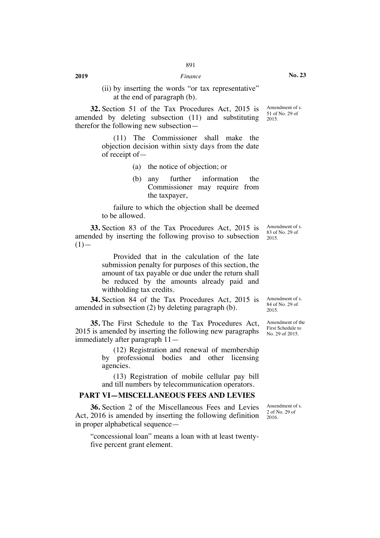(ii) by inserting the words "or tax representative" at the end of paragraph (b).

**32.** Section 51 of the Tax Procedures Act, 2015 is amended by deleting subsection (11) and substituting therefor the following new subsection—

> (11) The Commissioner shall make the objection decision within sixty days from the date of receipt of—

- (a) the notice of objection; or
- (b) any further information the Commissioner may require from the taxpayer,

failure to which the objection shall be deemed to be allowed.

**33.** Section 83 of the Tax Procedures Act, 2015 is amended by inserting the following proviso to subsection  $(1)$ —

> Provided that in the calculation of the late submission penalty for purposes of this section, the amount of tax payable or due under the return shall be reduced by the amounts already paid and withholding tax credits.

**34.** Section 84 of the Tax Procedures Act, 2015 is amended in subsection (2) by deleting paragraph (b).

**35.** The First Schedule to the Tax Procedures Act, 2015 is amended by inserting the following new paragraphs immediately after paragraph 11—

> (12) Registration and renewal of membership by professional bodies and other licensing agencies.

> (13) Registration of mobile cellular pay bill and till numbers by telecommunication operators.

# **PART VI—MISCELLANEOUS FEES AND LEVIES**

**36.** Section 2 of the Miscellaneous Fees and Levies Act, 2016 is amended by inserting the following definition in proper alphabetical sequence—

"concessional loan" means a loan with at least twentyfive percent grant element.

Amendment of s. 83 of No. 29 of 2015.

Amendment of s. 84 of No. 29 of 2015.

Amendment of the First Schedule to No. 29 of 2015.

Amendment of s. 2 of No. 29 of 2016.

**No. 23**

Amendment of s. 51 of No. 29 of 2015.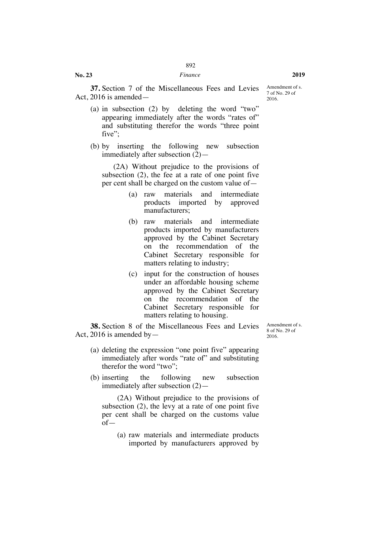**37.** Section 7 of the Miscellaneous Fees and Levies Act, 2016 is amended—

Amendment of s. 7 of No. 29 of 2016.

- (a) in subsection (2) by deleting the word "two" appearing immediately after the words "rates of" and substituting therefor the words "three point five":
- (b) by inserting the following new subsection immediately after subsection (2)—

(2A) Without prejudice to the provisions of subsection (2), the fee at a rate of one point five per cent shall be charged on the custom value of—

- (a) raw materials and intermediate products imported by approved manufacturers;
- (b) raw materials and intermediate products imported by manufacturers approved by the Cabinet Secretary on the recommendation of the Cabinet Secretary responsible for matters relating to industry;
- (c) input for the construction of houses under an affordable housing scheme approved by the Cabinet Secretary on the recommendation of the Cabinet Secretary responsible for matters relating to housing.

**38.** Section 8 of the Miscellaneous Fees and Levies Act, 2016 is amended by  $-$ 

Amendment of s. 8 of No. 29 of 2016.

- (a) deleting the expression "one point five" appearing immediately after words "rate of" and substituting therefor the word "two";
- (b) inserting the following new subsection immediately after subsection (2)—

(2A) Without prejudice to the provisions of subsection (2), the levy at a rate of one point five per cent shall be charged on the customs value of—

(a) raw materials and intermediate products imported by manufacturers approved by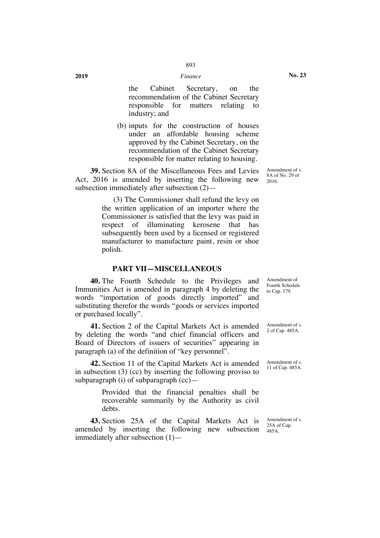the Cabinet Secretary, on the recommendation of the Cabinet Secretary responsible for matters relating to industry; and

(b) inputs for the construction of houses under an affordable housing scheme approved by the Cabinet Secretary, on the recommendation of the Cabinet Secretary responsible for matter relating to housing.

**39.** Section 8A of the Miscellaneous Fees and Levies Act, 2016 is amended by inserting the following new subsection immediately after subsection (2)—

> (3) The Commissioner shall refund the levy on the written application of an importer where the Commissioner is satisfied that the levy was paid in respect of illuminating kerosene that has subsequently been used by a licensed or registered manufacturer to manufacture paint, resin or shoe polish.

#### **PART VII—MISCELLANEOUS**

**40.** The Fourth Schedule to the Privileges and Immunities Act is amended in paragraph 4 by deleting the words "importation of goods directly imported" and substituting therefor the words "goods or services imported or purchased locally".

**41.** Section 2 of the Capital Markets Act is amended by deleting the words "and chief financial officers and Board of Directors of issuers of securities" appearing in paragraph (a) of the definition of "key personnel".

**42.** Section 11 of the Capital Markets Act is amended in subsection (3) (cc) by inserting the following proviso to subparagraph (i) of subparagraph (cc)—

> Provided that the financial penalties shall be recoverable summarily by the Authority as civil debts.

**43.** Section 25A of the Capital Markets Act is amended by inserting the following new subsection immediately after subsection (1)—

Amendment of s. 8A of No. 29 of 2016.

Amendment of Fourth Schedule to Cap. 179.

Amendment of s. 2 of Cap. 485A.

Amendment of s. 11 of Cap. 485A.

Amendment of s. 25A of Cap. 485A.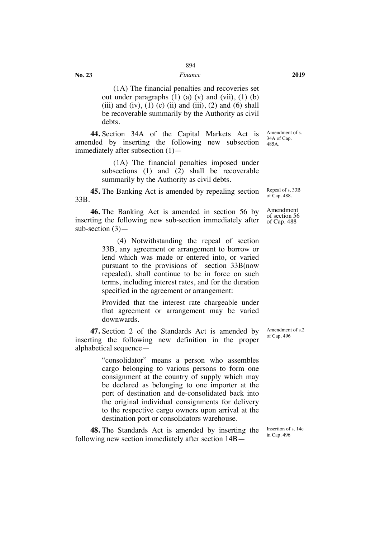#### *Finance* **2019**

**No. 23**

(1A) The financial penalties and recoveries set out under paragraphs  $(1)$   $(a)$   $(v)$  and  $(vii)$ ,  $(1)$   $(b)$ (iii) and (iv), (1) (c) (ii) and (iii), (2) and (6) shall be recoverable summarily by the Authority as civil debts.

**44.** Section 34A of the Capital Markets Act is amended by inserting the following new subsection immediately after subsection (1)— Amendment of s. 34A of Cap. 485A.

> (1A) The financial penalties imposed under subsections (1) and (2) shall be recoverable summarily by the Authority as civil debts.

**45.** The Banking Act is amended by repealing section 33B.

**46.** The Banking Act is amended in section 56 by inserting the following new sub-section immediately after sub-section (3)—

> (4) Notwithstanding the repeal of section 33B, any agreement or arrangement to borrow or lend which was made or entered into, or varied pursuant to the provisions of section 33B(now repealed), shall continue to be in force on such terms, including interest rates, and for the duration specified in the agreement or arrangement:

> Provided that the interest rate chargeable under that agreement or arrangement may be varied downwards.

**47.** Section 2 of the Standards Act is amended by inserting the following new definition in the proper alphabetical sequence—

> "consolidator" means a person who assembles cargo belonging to various persons to form one consignment at the country of supply which may be declared as belonging to one importer at the port of destination and de-consolidated back into the original individual consignments for delivery to the respective cargo owners upon arrival at the destination port or consolidators warehouse.

**48.** The Standards Act is amended by inserting the following new section immediately after section 14B—

Repeal of s. 33B of Cap. 488.

Amendment of section 56 of Cap. 488

Amendment of s.2 of Cap. 496

Insertion of s. 14c in Cap. 496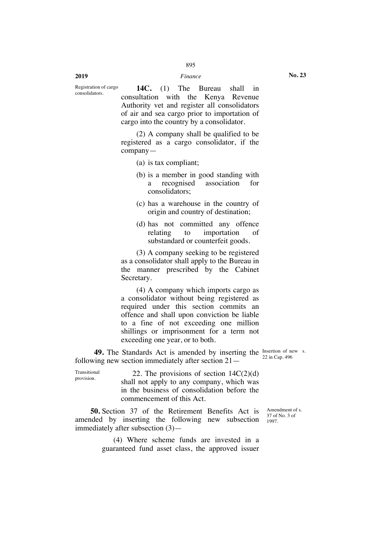#### **2019** *Finance*

Registration of cargo consolidators.

**14C.** (1) The Bureau shall in consultation with the Kenya Revenue Authority vet and register all consolidators of air and sea cargo prior to importation of cargo into the country by a consolidator.

(2) A company shall be qualified to be registered as a cargo consolidator, if the company—

- (a) is tax compliant;
- (b) is a member in good standing with a recognised association for consolidators;
- (c) has a warehouse in the country of origin and country of destination;
- (d) has not committed any offence relating to importation of substandard or counterfeit goods.

(3) A company seeking to be registered as a consolidator shall apply to the Bureau in the manner prescribed by the Cabinet Secretary.

(4) A company which imports cargo as a consolidator without being registered as required under this section commits an offence and shall upon conviction be liable to a fine of not exceeding one million shillings or imprisonment for a term not exceeding one year, or to both.

**49.** The Standards Act is amended by inserting the  $\frac{\text{Inserting}}{22 \text{ in } \text{Cov}}$  and  $\frac{406}{22 \text{ in } \text{Cov}}$ following new section immediately after section 21—

22 in Cap. 496

Transitional 22. The provisions of section  $14C(2)(d)$ shall not apply to any company, which was in the business of consolidation before the commencement of this Act.

**50.** Section 37 of the Retirement Benefits Act is amended by inserting the following new subsection immediately after subsection (3)—

> (4) Where scheme funds are invested in a guaranteed fund asset class, the approved issuer

Amendment of s. 37 of No. 3 of 1997.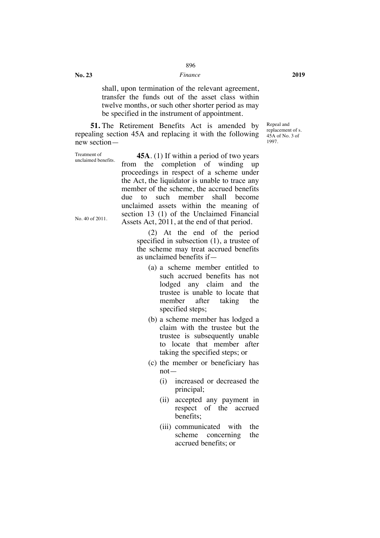#### *Finance* **2019**

shall, upon termination of the relevant agreement, transfer the funds out of the asset class within twelve months, or such other shorter period as may be specified in the instrument of appointment.

**51.** The Retirement Benefits Act is amended by repealing section 45A and replacing it with the following new section—

unclaimed benefits. No. 40 of 2011. **45A**. (1) If within a period of two years from the completion of winding up proceedings in respect of a scheme under the Act, the liquidator is unable to trace any member of the scheme, the accrued benefits due to such member shall become unclaimed assets within the meaning of section 13 (1) of the Unclaimed Financial Assets Act, 2011, at the end of that period.

**No. 23**

Treatment of

(2) At the end of the period specified in subsection (1), a trustee of the scheme may treat accrued benefits as unclaimed benefits if—

- (a) a scheme member entitled to such accrued benefits has not lodged any claim and the trustee is unable to locate that member after taking the specified steps;
- (b) a scheme member has lodged a claim with the trustee but the trustee is subsequently unable to locate that member after taking the specified steps; or
- (c) the member or beneficiary has not—
	- (i) increased or decreased the principal;
	- (ii) accepted any payment in respect of the accrued benefits;
	- (iii) communicated with the scheme concerning the accrued benefits; or

Repeal and replacement of s. 45A of No. 3 of 1997.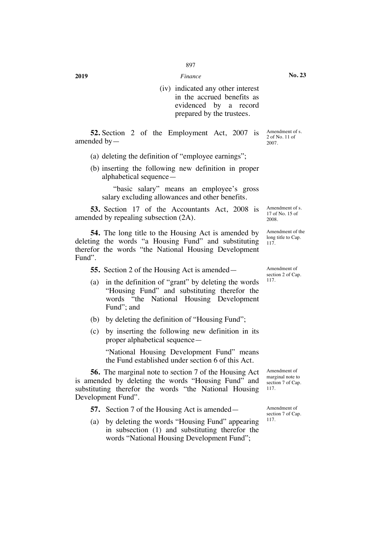(iv) indicated any other interest in the accrued benefits as evidenced by a record prepared by the trustees.

**52.** Section 2 of the Employment Act, 2007 is amended by—

- (a) deleting the definition of "employee earnings";
- (b) inserting the following new definition in proper alphabetical sequence—

"basic salary" means an employee's gross salary excluding allowances and other benefits.

**53.** Section 17 of the Accountants Act, 2008 is amended by repealing subsection (2A).

**54.** The long title to the Housing Act is amended by deleting the words "a Housing Fund" and substituting therefor the words "the National Housing Development Fund".

**55.** Section 2 of the Housing Act is amended—

- (a) in the definition of "grant" by deleting the words "Housing Fund" and substituting therefor the words "the National Housing Development Fund"; and
- (b) by deleting the definition of "Housing Fund";
- (c) by inserting the following new definition in its proper alphabetical sequence—

"National Housing Development Fund" means the Fund established under section 6 of this Act.

**56.** The marginal note to section 7 of the Housing Act is amended by deleting the words "Housing Fund" and substituting therefor the words "the National Housing Development Fund".

**57.** Section 7 of the Housing Act is amended—

(a) by deleting the words "Housing Fund" appearing in subsection (1) and substituting therefor the words "National Housing Development Fund";

Amendment of s. 17 of No. 15 of 2008.

Amendment of s. 2 of No. 11 of 2007.

Amendment of the long title to Cap. 117.

Amendment of section 2 of Cap. 117.

Amendment of marginal note to section 7 of Cap. 117.

Amendment of section 7 of Cap. 117.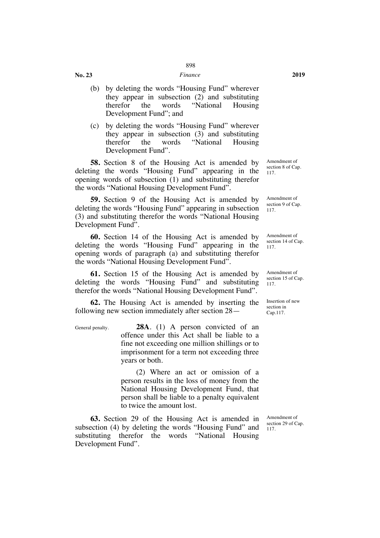#### *Finance* **2019**

**No. 23**

- (b) by deleting the words "Housing Fund" wherever they appear in subsection (2) and substituting therefor the words "National Housing Development Fund"; and
- (c) by deleting the words "Housing Fund" wherever they appear in subsection (3) and substituting therefor the words "National Housing Development Fund".

**58.** Section 8 of the Housing Act is amended by deleting the words "Housing Fund" appearing in the opening words of subsection (1) and substituting therefor the words "National Housing Development Fund".

**59.** Section 9 of the Housing Act is amended by deleting the words "Housing Fund" appearing in subsection (3) and substituting therefor the words "National Housing Development Fund".

**60.** Section 14 of the Housing Act is amended by deleting the words "Housing Fund" appearing in the opening words of paragraph (a) and substituting therefor the words "National Housing Development Fund".

**61.** Section 15 of the Housing Act is amended by deleting the words "Housing Fund" and substituting therefor the words "National Housing Development Fund".

**62.** The Housing Act is amended by inserting the following new section immediately after section 28—

General penalty. **28A**. (1) A person convicted of an offence under this Act shall be liable to a fine not exceeding one million shillings or to imprisonment for a term not exceeding three years or both.

> (2) Where an act or omission of a person results in the loss of money from the National Housing Development Fund, that person shall be liable to a penalty equivalent to twice the amount lost.

**63.** Section 29 of the Housing Act is amended in subsection (4) by deleting the words "Housing Fund" and substituting therefor the words "National Housing Development Fund".

Amendment of section 8 of Cap. 117.

Amendment of section 9 of Cap. 117.

Amendment of section 14 of Cap. 117.

Amendment of section 15 of Cap. 117.

Insertion of new section in Cap.117.

Amendment of section 29 of Cap. 117.